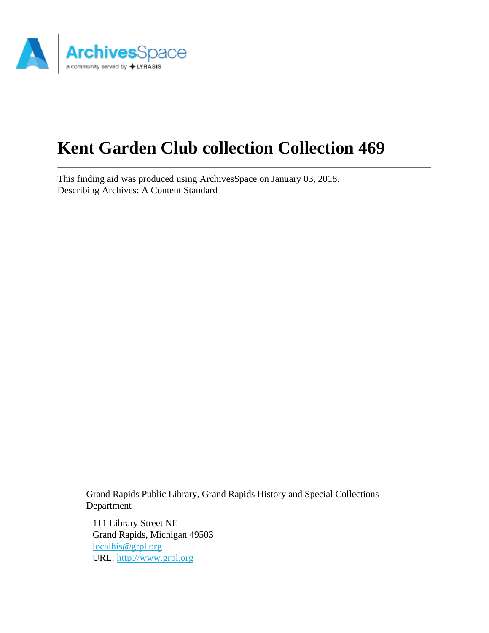

# **Kent Garden Club collection Collection 469**

This finding aid was produced using ArchivesSpace on January 03, 2018. Describing Archives: A Content Standard

> Grand Rapids Public Library, Grand Rapids History and Special Collections Department

111 Library Street NE Grand Rapids, Michigan 49503 [localhis@grpl.org](mailto:localhis@grpl.org) URL:<http://www.grpl.org>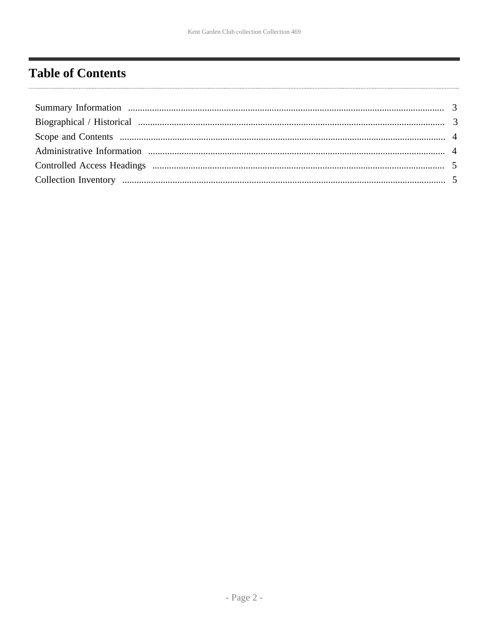# <span id="page-1-0"></span>**Table of Contents**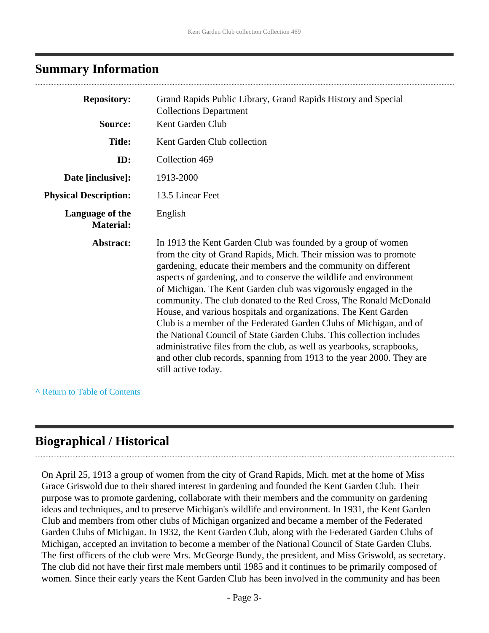# <span id="page-2-0"></span>**Summary Information**

| <b>Repository:</b><br>Source:       | Grand Rapids Public Library, Grand Rapids History and Special<br><b>Collections Department</b><br>Kent Garden Club                                                                                                                                                                                                                                                                                                                                                                                                                                                                                                                                                                                                                                                                                           |
|-------------------------------------|--------------------------------------------------------------------------------------------------------------------------------------------------------------------------------------------------------------------------------------------------------------------------------------------------------------------------------------------------------------------------------------------------------------------------------------------------------------------------------------------------------------------------------------------------------------------------------------------------------------------------------------------------------------------------------------------------------------------------------------------------------------------------------------------------------------|
| <b>Title:</b>                       | Kent Garden Club collection                                                                                                                                                                                                                                                                                                                                                                                                                                                                                                                                                                                                                                                                                                                                                                                  |
| ID:                                 | Collection 469                                                                                                                                                                                                                                                                                                                                                                                                                                                                                                                                                                                                                                                                                                                                                                                               |
| Date [inclusive]:                   | 1913-2000                                                                                                                                                                                                                                                                                                                                                                                                                                                                                                                                                                                                                                                                                                                                                                                                    |
| <b>Physical Description:</b>        | 13.5 Linear Feet                                                                                                                                                                                                                                                                                                                                                                                                                                                                                                                                                                                                                                                                                                                                                                                             |
| Language of the<br><b>Material:</b> | English                                                                                                                                                                                                                                                                                                                                                                                                                                                                                                                                                                                                                                                                                                                                                                                                      |
| Abstract:                           | In 1913 the Kent Garden Club was founded by a group of women<br>from the city of Grand Rapids, Mich. Their mission was to promote<br>gardening, educate their members and the community on different<br>aspects of gardening, and to conserve the wildlife and environment<br>of Michigan. The Kent Garden club was vigorously engaged in the<br>community. The club donated to the Red Cross, The Ronald McDonald<br>House, and various hospitals and organizations. The Kent Garden<br>Club is a member of the Federated Garden Clubs of Michigan, and of<br>the National Council of State Garden Clubs. This collection includes<br>administrative files from the club, as well as yearbooks, scrapbooks,<br>and other club records, spanning from 1913 to the year 2000. They are<br>still active today. |

**^** [Return to Table of Contents](#page-1-0)

# <span id="page-2-1"></span>**Biographical / Historical**

On April 25, 1913 a group of women from the city of Grand Rapids, Mich. met at the home of Miss Grace Griswold due to their shared interest in gardening and founded the Kent Garden Club. Their purpose was to promote gardening, collaborate with their members and the community on gardening ideas and techniques, and to preserve Michigan's wildlife and environment. In 1931, the Kent Garden Club and members from other clubs of Michigan organized and became a member of the Federated Garden Clubs of Michigan. In 1932, the Kent Garden Club, along with the Federated Garden Clubs of Michigan, accepted an invitation to become a member of the National Council of State Garden Clubs. The first officers of the club were Mrs. McGeorge Bundy, the president, and Miss Griswold, as secretary. The club did not have their first male members until 1985 and it continues to be primarily composed of women. Since their early years the Kent Garden Club has been involved in the community and has been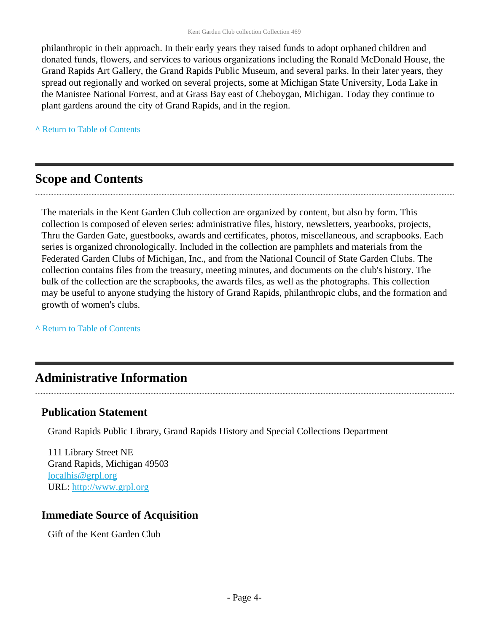philanthropic in their approach. In their early years they raised funds to adopt orphaned children and donated funds, flowers, and services to various organizations including the Ronald McDonald House, the Grand Rapids Art Gallery, the Grand Rapids Public Museum, and several parks. In their later years, they spread out regionally and worked on several projects, some at Michigan State University, Loda Lake in the Manistee National Forrest, and at Grass Bay east of Cheboygan, Michigan. Today they continue to plant gardens around the city of Grand Rapids, and in the region.

**^** [Return to Table of Contents](#page-1-0)

# <span id="page-3-0"></span>**Scope and Contents**

The materials in the Kent Garden Club collection are organized by content, but also by form. This collection is composed of eleven series: administrative files, history, newsletters, yearbooks, projects, Thru the Garden Gate, guestbooks, awards and certificates, photos, miscellaneous, and scrapbooks. Each series is organized chronologically. Included in the collection are pamphlets and materials from the Federated Garden Clubs of Michigan, Inc., and from the National Council of State Garden Clubs. The collection contains files from the treasury, meeting minutes, and documents on the club's history. The bulk of the collection are the scrapbooks, the awards files, as well as the photographs. This collection may be useful to anyone studying the history of Grand Rapids, philanthropic clubs, and the formation and growth of women's clubs.

**^** [Return to Table of Contents](#page-1-0)

# <span id="page-3-1"></span>**Administrative Information**

### **Publication Statement**

Grand Rapids Public Library, Grand Rapids History and Special Collections Department

111 Library Street NE Grand Rapids, Michigan 49503 [localhis@grpl.org](mailto:localhis@grpl.org) URL:<http://www.grpl.org>

### **Immediate Source of Acquisition**

Gift of the Kent Garden Club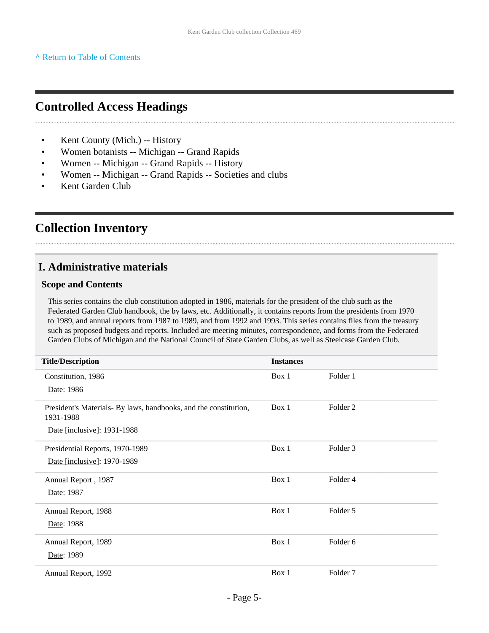# <span id="page-4-0"></span>**Controlled Access Headings**

- Kent County (Mich.) -- History
- Women botanists -- Michigan -- Grand Rapids
- Women -- Michigan -- Grand Rapids -- History
- Women -- Michigan -- Grand Rapids -- Societies and clubs
- Kent Garden Club

# <span id="page-4-1"></span>**Collection Inventory**

### **I. Administrative materials**

#### **Scope and Contents**

This series contains the club constitution adopted in 1986, materials for the president of the club such as the Federated Garden Club handbook, the by laws, etc. Additionally, it contains reports from the presidents from 1970 to 1989, and annual reports from 1987 to 1989, and from 1992 and 1993. This series contains files from the treasury such as proposed budgets and reports. Included are meeting minutes, correspondence, and forms from the Federated Garden Clubs of Michigan and the National Council of State Garden Clubs, as well as Steelcase Garden Club.

| <b>Title/Description</b>                                                      | <b>Instances</b> |                     |
|-------------------------------------------------------------------------------|------------------|---------------------|
| Constitution, 1986                                                            | Box 1            | Folder 1            |
| Date: 1986                                                                    |                  |                     |
| President's Materials- By laws, handbooks, and the constitution,<br>1931-1988 | Box 1            | Folder 2            |
| Date [inclusive]: 1931-1988                                                   |                  |                     |
| Presidential Reports, 1970-1989                                               | Box 1            | Folder 3            |
| Date [inclusive]: 1970-1989                                                   |                  |                     |
| Annual Report, 1987                                                           | Box 1            | Folder 4            |
| Date: 1987                                                                    |                  |                     |
| Annual Report, 1988                                                           | Box 1            | Folder 5            |
| Date: 1988                                                                    |                  |                     |
| Annual Report, 1989                                                           | Box 1            | Folder <sub>6</sub> |
| Date: 1989                                                                    |                  |                     |
| Annual Report, 1992                                                           | Box 1            | Folder <sub>7</sub> |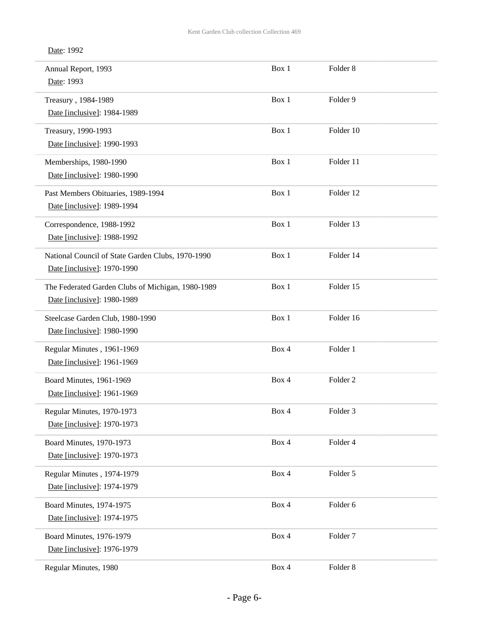| Annual Report, 1993<br>Date: 1993                                                | Box 1 | Folder <sub>8</sub> |  |
|----------------------------------------------------------------------------------|-------|---------------------|--|
| Treasury, 1984-1989<br>Date [inclusive]: 1984-1989                               | Box 1 | Folder 9            |  |
| Treasury, 1990-1993<br>Date [inclusive]: 1990-1993                               | Box 1 | Folder 10           |  |
| Memberships, 1980-1990<br>Date [inclusive]: 1980-1990                            | Box 1 | Folder 11           |  |
| Past Members Obituaries, 1989-1994<br>Date [inclusive]: 1989-1994                | Box 1 | Folder 12           |  |
| Correspondence, 1988-1992<br>Date [inclusive]: 1988-1992                         | Box 1 | Folder 13           |  |
| National Council of State Garden Clubs, 1970-1990<br>Date [inclusive]: 1970-1990 | Box 1 | Folder 14           |  |
| The Federated Garden Clubs of Michigan, 1980-1989<br>Date [inclusive]: 1980-1989 | Box 1 | Folder 15           |  |
| Steelcase Garden Club, 1980-1990<br>Date [inclusive]: 1980-1990                  | Box 1 | Folder 16           |  |
| Regular Minutes, 1961-1969<br>Date [inclusive]: 1961-1969                        | Box 4 | Folder 1            |  |
| Board Minutes, 1961-1969<br>Date [inclusive]: 1961-1969                          | Box 4 | Folder <sub>2</sub> |  |
| Regular Minutes, 1970-1973<br>Date [inclusive]: 1970-1973                        | Box 4 | Folder 3            |  |
| Board Minutes, 1970-1973<br>Date [inclusive]: 1970-1973                          | Box 4 | Folder 4            |  |
| Regular Minutes, 1974-1979<br>Date [inclusive]: 1974-1979                        | Box 4 | Folder 5            |  |
| Board Minutes, 1974-1975<br>Date [inclusive]: 1974-1975                          | Box 4 | Folder 6            |  |
| Board Minutes, 1976-1979<br>Date [inclusive]: 1976-1979                          | Box 4 | Folder <sub>7</sub> |  |
| Regular Minutes, 1980                                                            | Box 4 | Folder 8            |  |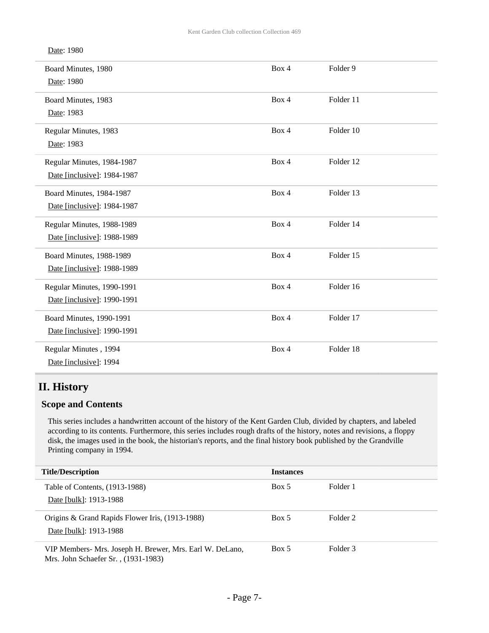| Date: 1980 |  |
|------------|--|
|------------|--|

| Board Minutes, 1980<br>Date: 1980                              | Box 4 | Folder <sub>9</sub> |
|----------------------------------------------------------------|-------|---------------------|
| Board Minutes, 1983<br>Date: 1983                              | Box 4 | Folder 11           |
| Regular Minutes, 1983<br>Date: 1983                            | Box 4 | Folder 10           |
| Regular Minutes, 1984-1987<br>Date [inclusive]: 1984-1987      | Box 4 | Folder 12           |
| Board Minutes, 1984-1987<br>Date [inclusive]: 1984-1987        | Box 4 | Folder 13           |
| Regular Minutes, 1988-1989<br>Date [inclusive]: 1988-1989      | Box 4 | Folder 14           |
| <b>Board Minutes, 1988-1989</b><br>Date [inclusive]: 1988-1989 | Box 4 | Folder 15           |
| Regular Minutes, 1990-1991<br>Date [inclusive]: 1990-1991      | Box 4 | Folder 16           |
| Board Minutes, 1990-1991<br>Date [inclusive]: 1990-1991        | Box 4 | Folder 17           |
| Regular Minutes, 1994<br>Date [inclusive]: 1994                | Box 4 | Folder 18           |

### **II. History**

#### **Scope and Contents**

This series includes a handwritten account of the history of the Kent Garden Club, divided by chapters, and labeled according to its contents. Furthermore, this series includes rough drafts of the history, notes and revisions, a floppy disk, the images used in the book, the historian's reports, and the final history book published by the Grandville Printing company in 1994.

| <b>Title/Description</b>                                                                        | <b>Instances</b> |          |
|-------------------------------------------------------------------------------------------------|------------------|----------|
| Table of Contents, (1913-1988)<br>Date [bulk]: 1913-1988                                        | Box 5            | Folder 1 |
| Origins & Grand Rapids Flower Iris, (1913-1988)<br>Date [bulk]: 1913-1988                       | Box 5            | Folder 2 |
| VIP Members- Mrs. Joseph H. Brewer, Mrs. Earl W. DeLano,<br>Mrs. John Schaefer Sr., (1931-1983) | Box 5            | Folder 3 |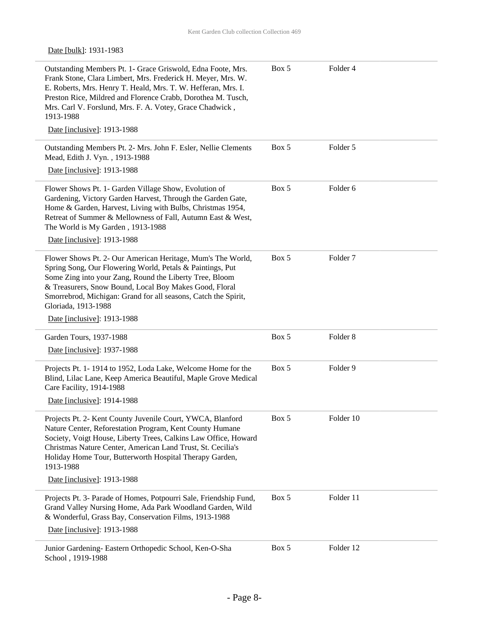### Date [bulk]: 1931-1983

| Outstanding Members Pt. 1- Grace Griswold, Edna Foote, Mrs.<br>Frank Stone, Clara Limbert, Mrs. Frederick H. Meyer, Mrs. W.<br>E. Roberts, Mrs. Henry T. Heald, Mrs. T. W. Hefferan, Mrs. I.<br>Preston Rice, Mildred and Florence Crabb, Dorothea M. Tusch,<br>Mrs. Carl V. Forslund, Mrs. F. A. Votey, Grace Chadwick,<br>1913-1988  | Box 5 | Folder 4            |
|----------------------------------------------------------------------------------------------------------------------------------------------------------------------------------------------------------------------------------------------------------------------------------------------------------------------------------------|-------|---------------------|
| Date [inclusive]: 1913-1988                                                                                                                                                                                                                                                                                                            |       |                     |
| Outstanding Members Pt. 2- Mrs. John F. Esler, Nellie Clements<br>Mead, Edith J. Vyn., 1913-1988<br>Date [inclusive]: 1913-1988                                                                                                                                                                                                        | Box 5 | Folder 5            |
|                                                                                                                                                                                                                                                                                                                                        |       |                     |
| Flower Shows Pt. 1- Garden Village Show, Evolution of<br>Gardening, Victory Garden Harvest, Through the Garden Gate,<br>Home & Garden, Harvest, Living with Bulbs, Christmas 1954,<br>Retreat of Summer & Mellowness of Fall, Autumn East & West,<br>The World is My Garden, 1913-1988                                                 | Box 5 | Folder <sub>6</sub> |
| Date [inclusive]: 1913-1988                                                                                                                                                                                                                                                                                                            |       |                     |
| Flower Shows Pt. 2- Our American Heritage, Mum's The World,<br>Spring Song, Our Flowering World, Petals & Paintings, Put<br>Some Zing into your Zang, Round the Liberty Tree, Bloom<br>& Treasurers, Snow Bound, Local Boy Makes Good, Floral<br>Smorrebrod, Michigan: Grand for all seasons, Catch the Spirit,<br>Gloriada, 1913-1988 | Box 5 | Folder <sub>7</sub> |
| Date [inclusive]: 1913-1988                                                                                                                                                                                                                                                                                                            |       |                     |
| Garden Tours, 1937-1988                                                                                                                                                                                                                                                                                                                | Box 5 | Folder <sub>8</sub> |
| Date [inclusive]: 1937-1988                                                                                                                                                                                                                                                                                                            |       |                     |
| Projects Pt. 1-1914 to 1952, Loda Lake, Welcome Home for the<br>Blind, Lilac Lane, Keep America Beautiful, Maple Grove Medical<br>Care Facility, 1914-1988                                                                                                                                                                             | Box 5 | Folder 9            |
| Date [inclusive]: 1914-1988                                                                                                                                                                                                                                                                                                            |       |                     |
| Projects Pt. 2- Kent County Juvenile Court, YWCA, Blanford<br>Nature Center, Reforestation Program, Kent County Humane<br>Society, Voigt House, Liberty Trees, Calkins Law Office, Howard<br>Christmas Nature Center, American Land Trust, St. Cecilia's<br>Holiday Home Tour, Butterworth Hospital Therapy Garden,<br>1913-1988       | Box 5 | Folder 10           |
| Date [inclusive]: 1913-1988                                                                                                                                                                                                                                                                                                            |       |                     |
| Projects Pt. 3- Parade of Homes, Potpourri Sale, Friendship Fund,<br>Grand Valley Nursing Home, Ada Park Woodland Garden, Wild<br>& Wonderful, Grass Bay, Conservation Films, 1913-1988<br>Date [inclusive]: 1913-1988                                                                                                                 | Box 5 | Folder 11           |
| Junior Gardening- Eastern Orthopedic School, Ken-O-Sha<br>School, 1919-1988                                                                                                                                                                                                                                                            | Box 5 | Folder 12           |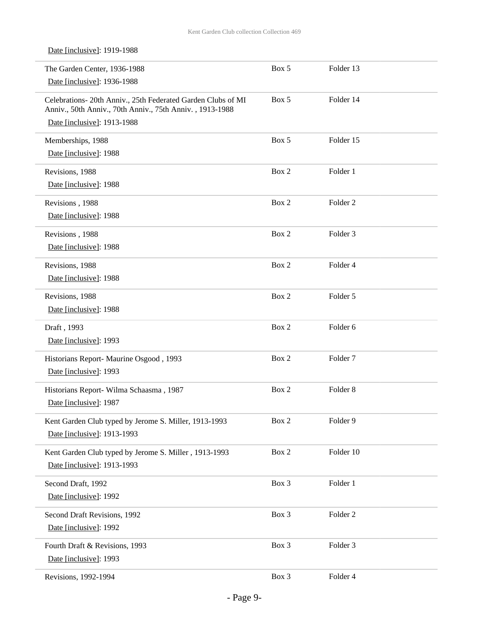Date [inclusive]: 1919-1988

| The Garden Center, 1936-1988<br>Date [inclusive]: 1936-1988                                                              | Box 5 | Folder 13           |  |
|--------------------------------------------------------------------------------------------------------------------------|-------|---------------------|--|
| Celebrations- 20th Anniv., 25th Federated Garden Clubs of MI<br>Anniv., 50th Anniv., 70th Anniv., 75th Anniv., 1913-1988 | Box 5 | Folder 14           |  |
| Date [inclusive]: 1913-1988                                                                                              |       |                     |  |
| Memberships, 1988                                                                                                        | Box 5 | Folder 15           |  |
| Date [inclusive]: 1988                                                                                                   |       |                     |  |
| Revisions, 1988                                                                                                          | Box 2 | Folder 1            |  |
| Date [inclusive]: 1988                                                                                                   |       |                     |  |
| Revisions, 1988                                                                                                          | Box 2 | Folder <sub>2</sub> |  |
| Date [inclusive]: 1988                                                                                                   |       |                     |  |
| Revisions, 1988                                                                                                          | Box 2 | Folder <sub>3</sub> |  |
| Date [inclusive]: 1988                                                                                                   |       |                     |  |
| Revisions, 1988                                                                                                          | Box 2 | Folder 4            |  |
| Date [inclusive]: 1988                                                                                                   |       |                     |  |
| Revisions, 1988                                                                                                          | Box 2 | Folder 5            |  |
| Date [inclusive]: 1988                                                                                                   |       |                     |  |
| Draft, 1993                                                                                                              | Box 2 | Folder 6            |  |
| Date [inclusive]: 1993                                                                                                   |       |                     |  |
| Historians Report- Maurine Osgood, 1993                                                                                  | Box 2 | Folder <sub>7</sub> |  |
| Date [inclusive]: 1993                                                                                                   |       |                     |  |
| Historians Report- Wilma Schaasma, 1987                                                                                  | Box 2 | Folder <sub>8</sub> |  |
| Date [inclusive]: 1987                                                                                                   |       |                     |  |
| Kent Garden Club typed by Jerome S. Miller, 1913-1993                                                                    | Box 2 | Folder 9            |  |
| Date [inclusive]: 1913-1993                                                                                              |       |                     |  |
| Kent Garden Club typed by Jerome S. Miller, 1913-1993                                                                    | Box 2 | Folder 10           |  |
| Date [inclusive]: 1913-1993                                                                                              |       |                     |  |
| Second Draft, 1992                                                                                                       | Box 3 | Folder 1            |  |
| Date [inclusive]: 1992                                                                                                   |       |                     |  |
| Second Draft Revisions, 1992                                                                                             | Box 3 | Folder <sub>2</sub> |  |
| Date [inclusive]: 1992                                                                                                   |       |                     |  |
| Fourth Draft & Revisions, 1993                                                                                           | Box 3 | Folder 3            |  |
| Date [inclusive]: 1993                                                                                                   |       |                     |  |
| Revisions, 1992-1994                                                                                                     | Box 3 | Folder 4            |  |
|                                                                                                                          |       |                     |  |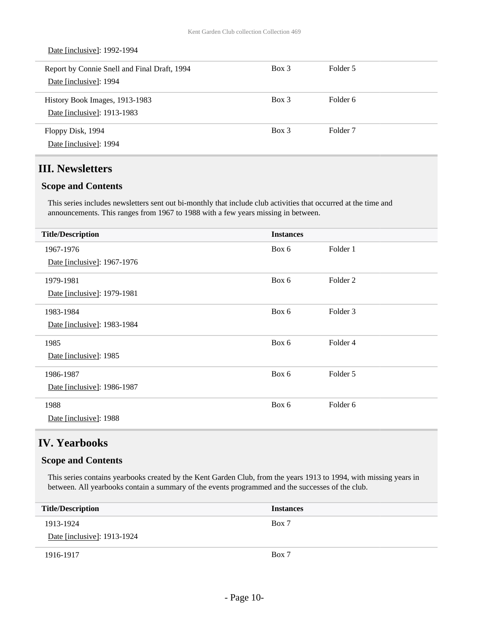| Date [inclusive]: 1992-1994                                            |          |                     |
|------------------------------------------------------------------------|----------|---------------------|
| Report by Connie Snell and Final Draft, 1994<br>Date [inclusive]: 1994 | $Box\ 3$ | Folder 5            |
| History Book Images, 1913-1983<br>Date [inclusive]: 1913-1983          | $Box$ 3  | Folder 6            |
| Floppy Disk, 1994<br>Date [inclusive]: 1994                            | $Box\ 3$ | Folder <sub>7</sub> |

# **III. Newsletters**

#### **Scope and Contents**

This series includes newsletters sent out bi-monthly that include club activities that occurred at the time and announcements. This ranges from 1967 to 1988 with a few years missing in between.

| <b>Title/Description</b>    | <b>Instances</b> |                     |
|-----------------------------|------------------|---------------------|
| 1967-1976                   | Box 6            | Folder 1            |
| Date [inclusive]: 1967-1976 |                  |                     |
| 1979-1981                   | Box 6            | Folder <sub>2</sub> |
| Date [inclusive]: 1979-1981 |                  |                     |
| 1983-1984                   | Box 6            | Folder 3            |
| Date [inclusive]: 1983-1984 |                  |                     |
| 1985                        | Box 6            | Folder 4            |
| Date [inclusive]: 1985      |                  |                     |
| 1986-1987                   | Box 6            | Folder 5            |
| Date [inclusive]: 1986-1987 |                  |                     |
| 1988                        | Box 6            | Folder <sub>6</sub> |
| Date [inclusive]: 1988      |                  |                     |

### **IV. Yearbooks**

#### **Scope and Contents**

This series contains yearbooks created by the Kent Garden Club, from the years 1913 to 1994, with missing years in between. All yearbooks contain a summary of the events programmed and the successes of the club.

| <b>Title/Description</b>    | <b>Instances</b> |
|-----------------------------|------------------|
| 1913-1924                   | Box 7            |
| Date [inclusive]: 1913-1924 |                  |
| 1916-1917                   | Box 7            |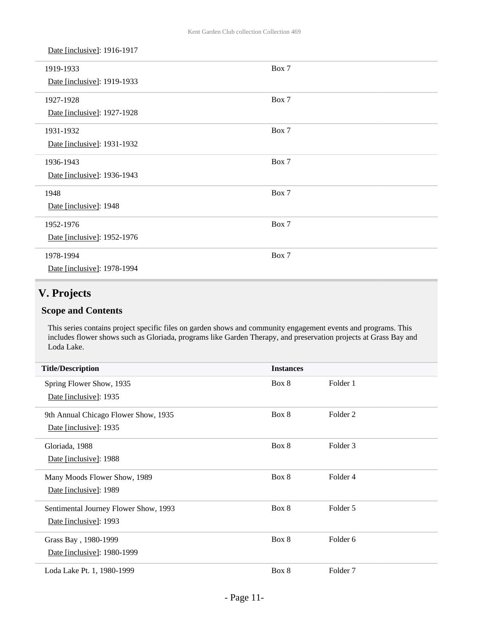| Date [inclusive]: 1916-1917 |       |  |
|-----------------------------|-------|--|
| 1919-1933                   | Box 7 |  |
| Date [inclusive]: 1919-1933 |       |  |
| 1927-1928                   | Box 7 |  |
| Date [inclusive]: 1927-1928 |       |  |
| 1931-1932                   | Box 7 |  |
| Date [inclusive]: 1931-1932 |       |  |
| 1936-1943                   | Box 7 |  |
| Date [inclusive]: 1936-1943 |       |  |
| 1948                        | Box 7 |  |
| Date [inclusive]: 1948      |       |  |
| 1952-1976                   | Box 7 |  |
| Date [inclusive]: 1952-1976 |       |  |
| 1978-1994                   | Box 7 |  |
| Date [inclusive]: 1978-1994 |       |  |

# **V. Projects**

### **Scope and Contents**

This series contains project specific files on garden shows and community engagement events and programs. This includes flower shows such as Gloriada, programs like Garden Therapy, and preservation projects at Grass Bay and Loda Lake.

| <b>Title/Description</b>              | <b>Instances</b> |                     |  |
|---------------------------------------|------------------|---------------------|--|
| Spring Flower Show, 1935              | Box 8            | Folder 1            |  |
| Date [inclusive]: 1935                |                  |                     |  |
| 9th Annual Chicago Flower Show, 1935  | Box 8            | Folder <sub>2</sub> |  |
| Date [inclusive]: 1935                |                  |                     |  |
| Gloriada, 1988                        | Box 8            | Folder 3            |  |
| Date [inclusive]: 1988                |                  |                     |  |
| Many Moods Flower Show, 1989          | Box 8            | Folder <sub>4</sub> |  |
| Date [inclusive]: 1989                |                  |                     |  |
| Sentimental Journey Flower Show, 1993 | Box 8            | Folder 5            |  |
| Date [inclusive]: 1993                |                  |                     |  |
| Grass Bay, 1980-1999                  | Box 8            | Folder <sub>6</sub> |  |
| Date [inclusive]: 1980-1999           |                  |                     |  |
| Loda Lake Pt. 1, 1980-1999            | Box 8            | Folder <sub>7</sub> |  |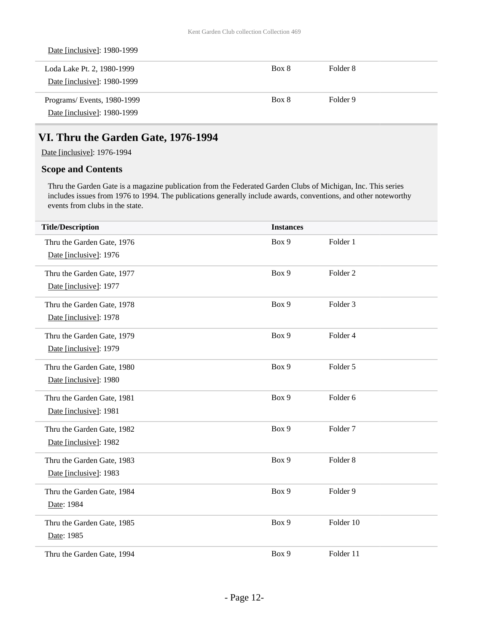| Date [inclusive]: 1980-1999 |       |          |
|-----------------------------|-------|----------|
| Loda Lake Pt. 2, 1980-1999  | Box 8 | Folder 8 |
| Date [inclusive]: 1980-1999 |       |          |
| Programs/Events, 1980-1999  | Box 8 | Folder 9 |
| Date [inclusive]: 1980-1999 |       |          |

### **VI. Thru the Garden Gate, 1976-1994**

Date [inclusive]: 1976-1994

### **Scope and Contents**

Thru the Garden Gate is a magazine publication from the Federated Garden Clubs of Michigan, Inc. This series includes issues from 1976 to 1994. The publications generally include awards, conventions, and other noteworthy events from clubs in the state.

| <b>Title/Description</b>   | <b>Instances</b> |                     |
|----------------------------|------------------|---------------------|
| Thru the Garden Gate, 1976 | Box 9            | Folder 1            |
| Date [inclusive]: 1976     |                  |                     |
| Thru the Garden Gate, 1977 | Box 9            | Folder <sub>2</sub> |
| Date [inclusive]: 1977     |                  |                     |
| Thru the Garden Gate, 1978 | Box 9            | Folder <sub>3</sub> |
| Date [inclusive]: 1978     |                  |                     |
| Thru the Garden Gate, 1979 | Box 9            | Folder 4            |
| Date [inclusive]: 1979     |                  |                     |
| Thru the Garden Gate, 1980 | Box 9            | Folder 5            |
| Date [inclusive]: 1980     |                  |                     |
| Thru the Garden Gate, 1981 | Box 9            | Folder 6            |
| Date [inclusive]: 1981     |                  |                     |
| Thru the Garden Gate, 1982 | Box 9            | Folder <sub>7</sub> |
| Date [inclusive]: 1982     |                  |                     |
| Thru the Garden Gate, 1983 | Box 9            | Folder <sub>8</sub> |
| Date [inclusive]: 1983     |                  |                     |
| Thru the Garden Gate, 1984 | Box 9            | Folder 9            |
| Date: 1984                 |                  |                     |
| Thru the Garden Gate, 1985 | Box 9            | Folder 10           |
| Date: 1985                 |                  |                     |
| Thru the Garden Gate, 1994 | Box 9            | Folder 11           |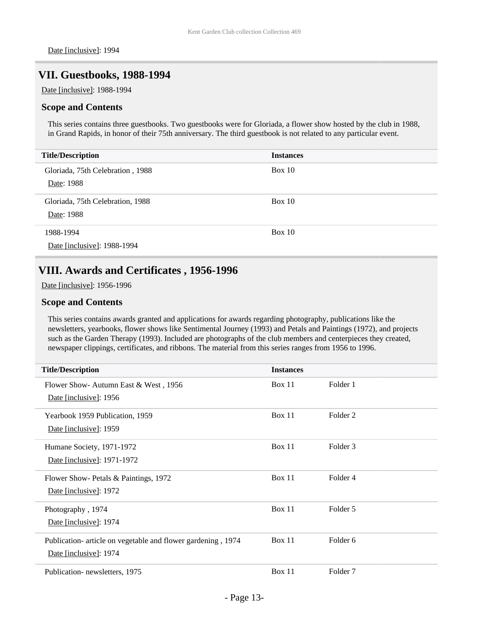### **VII. Guestbooks, 1988-1994**

Date [inclusive]: 1988-1994

#### **Scope and Contents**

This series contains three guestbooks. Two guestbooks were for Gloriada, a flower show hosted by the club in 1988, in Grand Rapids, in honor of their 75th anniversary. The third guestbook is not related to any particular event.

| <b>Title/Description</b>         | <b>Instances</b> |
|----------------------------------|------------------|
| Gloriada, 75th Celebration, 1988 | Box 10           |
| Date: 1988                       |                  |
| Gloriada, 75th Celebration, 1988 | Box 10           |
| Date: 1988                       |                  |
| 1988-1994                        | Box 10           |
| Date [inclusive]: 1988-1994      |                  |

### **VIII. Awards and Certificates , 1956-1996**

Date [inclusive]: 1956-1996

#### **Scope and Contents**

This series contains awards granted and applications for awards regarding photography, publications like the newsletters, yearbooks, flower shows like Sentimental Journey (1993) and Petals and Paintings (1972), and projects such as the Garden Therapy (1993). Included are photographs of the club members and centerpieces they created, newspaper clippings, certificates, and ribbons. The material from this series ranges from 1956 to 1996.

| <b>Title/Description</b>                                     | <b>Instances</b> |                     |
|--------------------------------------------------------------|------------------|---------------------|
| Flower Show- Autumn East & West, 1956                        | Box 11           | Folder 1            |
| Date [inclusive]: 1956                                       |                  |                     |
| Yearbook 1959 Publication, 1959                              | Box 11           | Folder 2            |
| Date [inclusive]: 1959                                       |                  |                     |
| Humane Society, 1971-1972                                    | Box 11           | Folder 3            |
| Date [inclusive]: 1971-1972                                  |                  |                     |
| Flower Show- Petals & Paintings, 1972                        | Box 11           | Folder 4            |
| Date [inclusive]: 1972                                       |                  |                     |
| Photography, 1974                                            | Box 11           | Folder 5            |
| Date [inclusive]: 1974                                       |                  |                     |
| Publication- article on vegetable and flower gardening, 1974 | Box 11           | Folder <sub>6</sub> |
| Date [inclusive]: 1974                                       |                  |                     |
| Publication-newsletters, 1975                                | Box 11           | Folder <sub>7</sub> |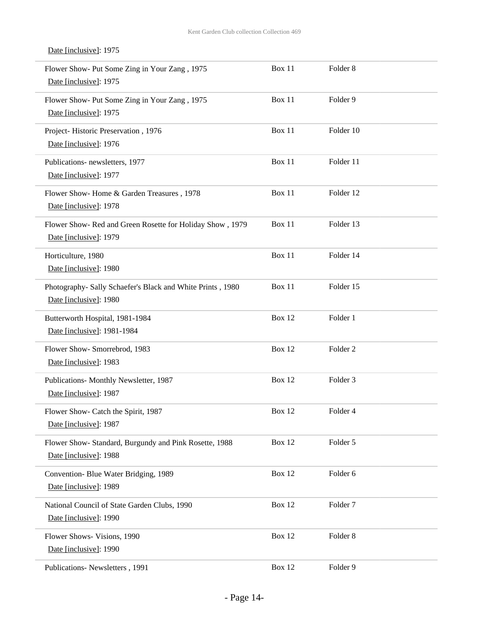Date [inclusive]: 1975

#### Flower Show- Put Some Zing in Your Zang , 1975 Date [inclusive]: 1975 Box 11 Folder 8 Flower Show- Put Some Zing in Your Zang , 1975 Date [inclusive]: 1975 Box 11 Folder 9 Project- Historic Preservation , 1976 Date [inclusive]: 1976 Box 11 Folder 10 Publications- newsletters, 1977 Date [inclusive]: 1977 Box 11 Folder 11 Flower Show- Home & Garden Treasures , 1978 Date [inclusive]: 1978 Box 11 Folder 12 Flower Show- Red and Green Rosette for Holiday Show , 1979 Date [inclusive]: 1979 Box 11 Folder 13 Horticulture, 1980 Date [inclusive]: 1980 Box 11 Folder 14 Photography- Sally Schaefer's Black and White Prints , 1980 Date [inclusive]: 1980 Box 11 Folder 15 Butterworth Hospital, 1981-1984 Date [inclusive]: 1981-1984 Box 12 Folder 1 Flower Show- Smorrebrod, 1983 Date [inclusive]: 1983 Box 12 Folder 2 Publications- Monthly Newsletter, 1987 Date [inclusive]: 1987 Box 12 Folder 3 Flower Show- Catch the Spirit, 1987 Date [inclusive]: 1987 Box 12 Folder 4 Flower Show- Standard, Burgundy and Pink Rosette, 1988 Date [inclusive]: 1988 Box 12 Folder 5 Convention- Blue Water Bridging, 1989 Date [inclusive]: 1989 Box 12 Folder 6 National Council of State Garden Clubs, 1990 Date [inclusive]: 1990 Box 12 Folder 7 Flower Shows- Visions, 1990 Date [inclusive]: 1990 Box 12 Folder 8 Publications- Newsletters , 1991 Box 12 Folder 9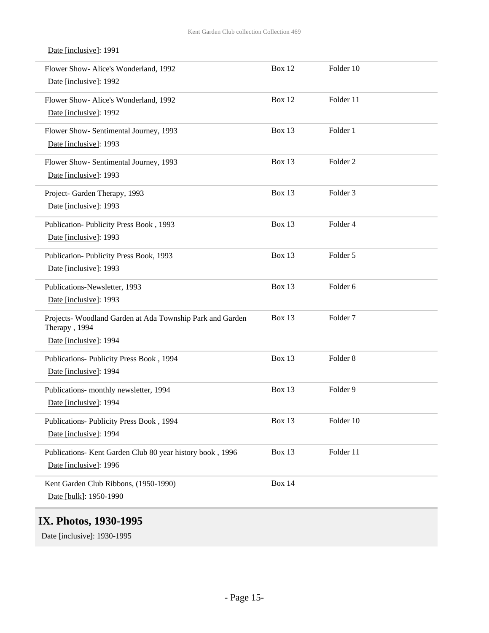| Date [inclusive]: 1991                                                                               |               |                     |
|------------------------------------------------------------------------------------------------------|---------------|---------------------|
| Flower Show- Alice's Wonderland, 1992<br>Date [inclusive]: 1992                                      | <b>Box 12</b> | Folder 10           |
| Flower Show- Alice's Wonderland, 1992<br>Date [inclusive]: 1992                                      | <b>Box 12</b> | Folder 11           |
| Flower Show- Sentimental Journey, 1993<br>Date [inclusive]: 1993                                     | Box 13        | Folder 1            |
| Flower Show- Sentimental Journey, 1993<br>Date [inclusive]: 1993                                     | Box 13        | Folder <sub>2</sub> |
| Project- Garden Therapy, 1993<br>Date [inclusive]: 1993                                              | Box 13        | Folder <sub>3</sub> |
| Publication-Publicity Press Book, 1993<br>Date [inclusive]: 1993                                     | Box 13        | Folder 4            |
| Publication-Publicity Press Book, 1993<br>Date [inclusive]: 1993                                     | Box 13        | Folder 5            |
| Publications-Newsletter, 1993<br>Date [inclusive]: 1993                                              | Box 13        | Folder 6            |
| Projects- Woodland Garden at Ada Township Park and Garden<br>Therapy, 1994<br>Date [inclusive]: 1994 | Box 13        | Folder <sub>7</sub> |
| Publications- Publicity Press Book, 1994<br>Date [inclusive]: 1994                                   | Box 13        | Folder <sub>8</sub> |
| Publications- monthly newsletter, 1994<br>Date [inclusive]: 1994                                     | Box 13        | Folder 9            |
| Publications- Publicity Press Book, 1994<br>Date [inclusive]: 1994                                   | Box 13        | Folder 10           |
| Publications- Kent Garden Club 80 year history book, 1996<br>Date [inclusive]: 1996                  | Box 13        | Folder 11           |
| Kent Garden Club Ribbons, (1950-1990)<br>Date [bulk]: 1950-1990                                      | <b>Box 14</b> |                     |

# **IX. Photos, 1930-1995**

Date [inclusive]: 1930-1995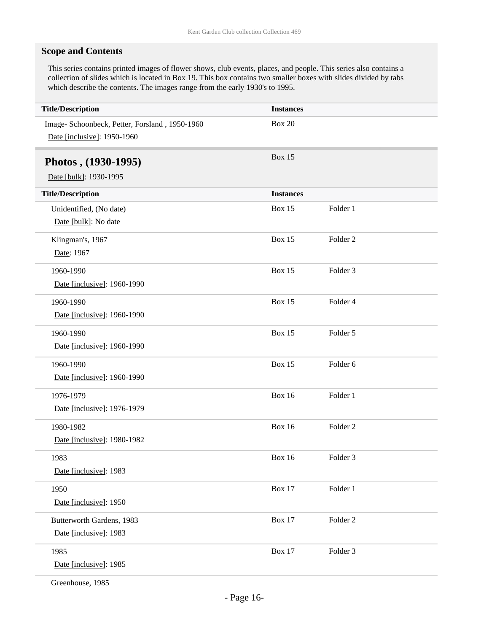### **Scope and Contents**

This series contains printed images of flower shows, club events, places, and people. This series also contains a collection of slides which is located in Box 19. This box contains two smaller boxes with slides divided by tabs which describe the contents. The images range from the early 1930's to 1995.

| <b>Title/Description</b>                                                      | <b>Instances</b> |                     |
|-------------------------------------------------------------------------------|------------------|---------------------|
| Image- Schoonbeck, Petter, Forsland, 1950-1960<br>Date [inclusive]: 1950-1960 | <b>Box 20</b>    |                     |
| Photos, (1930-1995)                                                           | <b>Box 15</b>    |                     |
| Date [bulk]: 1930-1995                                                        |                  |                     |
| <b>Title/Description</b>                                                      | <b>Instances</b> |                     |
| Unidentified, (No date)                                                       | <b>Box 15</b>    | Folder 1            |
| Date [bulk]: No date                                                          |                  |                     |
| Klingman's, 1967                                                              | <b>Box 15</b>    | Folder <sub>2</sub> |
| Date: 1967                                                                    |                  |                     |
| 1960-1990                                                                     | <b>Box 15</b>    | Folder 3            |
| Date [inclusive]: 1960-1990                                                   |                  |                     |
| 1960-1990                                                                     | <b>Box 15</b>    | Folder 4            |
| Date [inclusive]: 1960-1990                                                   |                  |                     |
| 1960-1990                                                                     | <b>Box 15</b>    | Folder 5            |
| Date [inclusive]: 1960-1990                                                   |                  |                     |
| 1960-1990                                                                     | <b>Box 15</b>    | Folder 6            |
| Date [inclusive]: 1960-1990                                                   |                  |                     |
| 1976-1979                                                                     | <b>Box 16</b>    | Folder 1            |
| Date [inclusive]: 1976-1979                                                   |                  |                     |
| 1980-1982                                                                     | <b>Box 16</b>    | Folder <sub>2</sub> |
| Date [inclusive]: 1980-1982                                                   |                  |                     |
| 1983                                                                          | <b>Box 16</b>    | Folder 3            |
| Date [inclusive]: 1983                                                        |                  |                     |
| 1950                                                                          | <b>Box 17</b>    | Folder 1            |
| Date [inclusive]: 1950                                                        |                  |                     |
| Butterworth Gardens, 1983                                                     | <b>Box 17</b>    | Folder <sub>2</sub> |
| Date [inclusive]: 1983                                                        |                  |                     |
| 1985                                                                          | <b>Box 17</b>    | Folder 3            |
| Date [inclusive]: 1985                                                        |                  |                     |
|                                                                               |                  |                     |

Greenhouse, 1985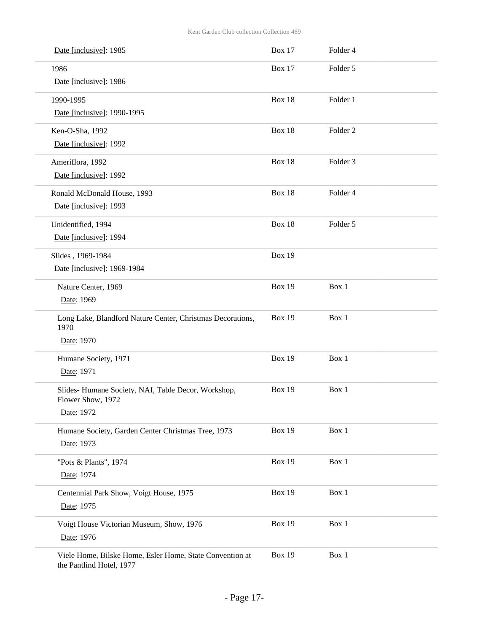| Date [inclusive]: 1985                                                               | <b>Box 17</b> | Folder 4            |
|--------------------------------------------------------------------------------------|---------------|---------------------|
| 1986                                                                                 | <b>Box 17</b> | Folder 5            |
| Date [inclusive]: 1986                                                               |               |                     |
| 1990-1995                                                                            | Box 18        | Folder 1            |
| Date [inclusive]: 1990-1995                                                          |               |                     |
| Ken-O-Sha, 1992                                                                      | Box 18        | Folder <sub>2</sub> |
| Date [inclusive]: 1992                                                               |               |                     |
| Ameriflora, 1992                                                                     | Box 18        | Folder 3            |
| Date [inclusive]: 1992                                                               |               |                     |
| Ronald McDonald House, 1993                                                          | Box 18        | Folder 4            |
| Date [inclusive]: 1993                                                               |               |                     |
| Unidentified, 1994                                                                   | Box 18        | Folder 5            |
| Date [inclusive]: 1994                                                               |               |                     |
| Slides, 1969-1984                                                                    | <b>Box 19</b> |                     |
| Date [inclusive]: 1969-1984                                                          |               |                     |
| Nature Center, 1969                                                                  | <b>Box 19</b> | Box 1               |
| Date: 1969                                                                           |               |                     |
| Long Lake, Blandford Nature Center, Christmas Decorations,<br>1970                   | <b>Box 19</b> | Box 1               |
| Date: 1970                                                                           |               |                     |
| Humane Society, 1971                                                                 | <b>Box 19</b> | Box 1               |
| Date: 1971                                                                           |               |                     |
| Slides- Humane Society, NAI, Table Decor, Workshop,                                  | <b>Box 19</b> | Box 1               |
| Flower Show, 1972                                                                    |               |                     |
| Date: 1972                                                                           |               |                     |
| Humane Society, Garden Center Christmas Tree, 1973                                   | <b>Box 19</b> | Box 1               |
| Date: 1973                                                                           |               |                     |
| "Pots & Plants", 1974                                                                | <b>Box 19</b> | Box 1               |
| Date: 1974                                                                           |               |                     |
| Centennial Park Show, Voigt House, 1975                                              | <b>Box 19</b> | Box 1               |
| Date: 1975                                                                           |               |                     |
| Voigt House Victorian Museum, Show, 1976                                             | <b>Box 19</b> | Box 1               |
| Date: 1976                                                                           |               |                     |
| Viele Home, Bilske Home, Esler Home, State Convention at<br>the Pantlind Hotel, 1977 | <b>Box 19</b> | Box 1               |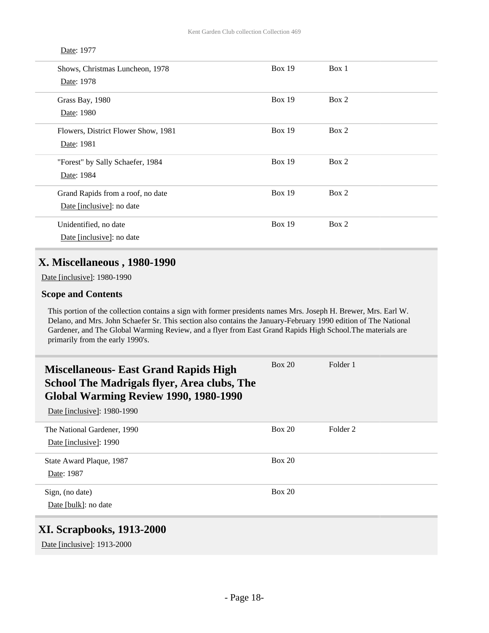#### Date: 1977

| Shows, Christmas Luncheon, 1978<br>Date: 1978                  | Box $19$ | Box 1 |
|----------------------------------------------------------------|----------|-------|
| Grass Bay, 1980<br>Date: 1980                                  | Box 19   | Box 2 |
| Flowers, District Flower Show, 1981<br>Date: 1981              | Box $19$ | Box 2 |
| "Forest" by Sally Schaefer, 1984<br>Date: 1984                 | Box 19   | Box 2 |
| Grand Rapids from a roof, no date<br>Date [inclusive]: no date | Box 19   | Box 2 |
| Unidentified, no date<br>Date [inclusive]: no date             | Box $19$ | Box 2 |

### **X. Miscellaneous , 1980-1990**

Date [inclusive]: 1980-1990

#### **Scope and Contents**

This portion of the collection contains a sign with former presidents names Mrs. Joseph H. Brewer, Mrs. Earl W. Delano, and Mrs. John Schaefer Sr. This section also contains the January-February 1990 edition of The National Gardener, and The Global Warming Review, and a flyer from East Grand Rapids High School.The materials are primarily from the early 1990's.

| <b>Miscellaneous- East Grand Rapids High</b><br><b>School The Madrigals flyer, Area clubs, The</b><br>Global Warming Review 1990, 1980-1990<br>Date [inclusive]: 1980-1990 | Box 20        | Folder 1 |
|----------------------------------------------------------------------------------------------------------------------------------------------------------------------------|---------------|----------|
| The National Gardener, 1990                                                                                                                                                | Box 20        | Folder 2 |
| Date [inclusive]: 1990                                                                                                                                                     |               |          |
| State Award Plaque, 1987                                                                                                                                                   | Box 20        |          |
| Date: 1987                                                                                                                                                                 |               |          |
| Sign, (no date)                                                                                                                                                            | <b>Box 20</b> |          |
| Date [bulk]: no date                                                                                                                                                       |               |          |
| XI. Scrapbooks. 1913-2000                                                                                                                                                  |               |          |

### **SCI appoons,**

Date [inclusive]: 1913-2000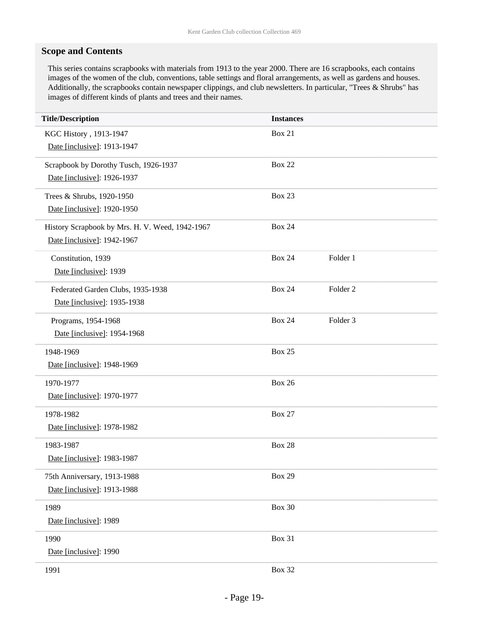### **Scope and Contents**

This series contains scrapbooks with materials from 1913 to the year 2000. There are 16 scrapbooks, each contains images of the women of the club, conventions, table settings and floral arrangements, as well as gardens and houses. Additionally, the scrapbooks contain newspaper clippings, and club newsletters. In particular, "Trees & Shrubs" has images of different kinds of plants and trees and their names.

| <b>Title/Description</b>                        | <b>Instances</b> |                     |
|-------------------------------------------------|------------------|---------------------|
| KGC History, 1913-1947                          | <b>Box 21</b>    |                     |
| Date [inclusive]: 1913-1947                     |                  |                     |
| Scrapbook by Dorothy Tusch, 1926-1937           | <b>Box 22</b>    |                     |
| Date [inclusive]: 1926-1937                     |                  |                     |
| Trees & Shrubs, 1920-1950                       | <b>Box 23</b>    |                     |
| Date [inclusive]: 1920-1950                     |                  |                     |
| History Scrapbook by Mrs. H. V. Weed, 1942-1967 | <b>Box 24</b>    |                     |
| Date [inclusive]: 1942-1967                     |                  |                     |
| Constitution, 1939                              | <b>Box 24</b>    | Folder 1            |
| Date [inclusive]: 1939                          |                  |                     |
| Federated Garden Clubs, 1935-1938               | <b>Box 24</b>    | Folder <sub>2</sub> |
| Date [inclusive]: 1935-1938                     |                  |                     |
| Programs, 1954-1968                             | <b>Box 24</b>    | Folder <sub>3</sub> |
| Date [inclusive]: 1954-1968                     |                  |                     |
| 1948-1969                                       | <b>Box 25</b>    |                     |
| Date [inclusive]: 1948-1969                     |                  |                     |
| 1970-1977                                       | <b>Box 26</b>    |                     |
| Date [inclusive]: 1970-1977                     |                  |                     |
| 1978-1982                                       | <b>Box 27</b>    |                     |
| Date [inclusive]: 1978-1982                     |                  |                     |
| 1983-1987                                       | <b>Box 28</b>    |                     |
| Date [inclusive]: 1983-1987                     |                  |                     |
| 75th Anniversary, 1913-1988                     | <b>Box 29</b>    |                     |
| Date [inclusive]: 1913-1988                     |                  |                     |
| 1989                                            | <b>Box 30</b>    |                     |
| Date [inclusive]: 1989                          |                  |                     |
| 1990                                            | <b>Box 31</b>    |                     |
| Date [inclusive]: 1990                          |                  |                     |
| 1991                                            | <b>Box 32</b>    |                     |